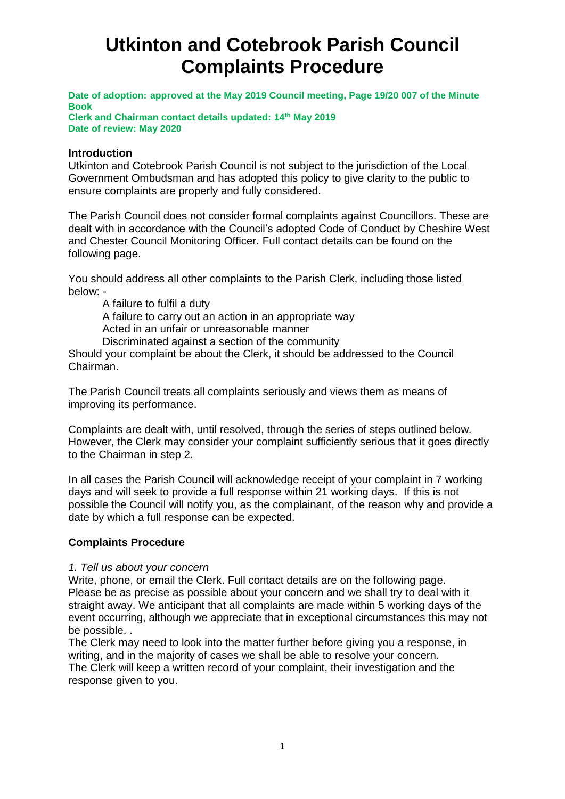# **Utkinton and Cotebrook Parish Council Complaints Procedure**

**Date of adoption: approved at the May 2019 Council meeting, Page 19/20 007 of the Minute Book**

**Clerk and Chairman contact details updated: 14th May 2019 Date of review: May 2020**

#### **Introduction**

Utkinton and Cotebrook Parish Council is not subject to the jurisdiction of the Local Government Ombudsman and has adopted this policy to give clarity to the public to ensure complaints are properly and fully considered.

The Parish Council does not consider formal complaints against Councillors. These are dealt with in accordance with the Council's adopted Code of Conduct by Cheshire West and Chester Council Monitoring Officer. Full contact details can be found on the following page.

You should address all other complaints to the Parish Clerk, including those listed below: -

A failure to fulfil a duty

A failure to carry out an action in an appropriate way

Acted in an unfair or unreasonable manner

Discriminated against a section of the community

Should your complaint be about the Clerk, it should be addressed to the Council Chairman.

The Parish Council treats all complaints seriously and views them as means of improving its performance.

Complaints are dealt with, until resolved, through the series of steps outlined below. However, the Clerk may consider your complaint sufficiently serious that it goes directly to the Chairman in step 2.

In all cases the Parish Council will acknowledge receipt of your complaint in 7 working days and will seek to provide a full response within 21 working days. If this is not possible the Council will notify you, as the complainant, of the reason why and provide a date by which a full response can be expected.

# **Complaints Procedure**

#### *1. Tell us about your concern*

Write, phone, or email the Clerk. Full contact details are on the following page. Please be as precise as possible about your concern and we shall try to deal with it straight away. We anticipant that all complaints are made within 5 working days of the event occurring, although we appreciate that in exceptional circumstances this may not be possible. .

The Clerk may need to look into the matter further before giving you a response, in writing, and in the majority of cases we shall be able to resolve your concern. The Clerk will keep a written record of your complaint, their investigation and the response given to you.